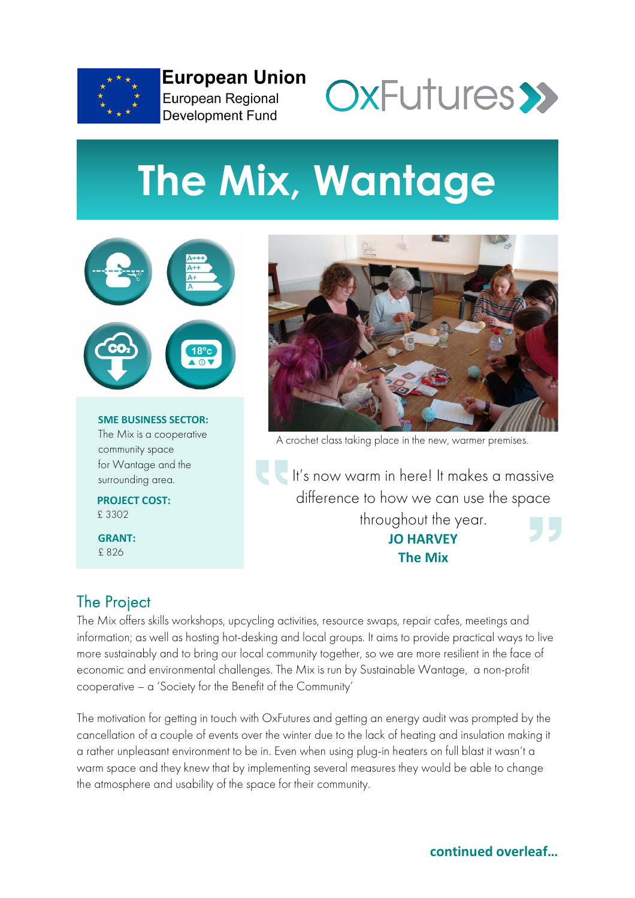

**European Union** European Regional **Development Fund** 



# **The Mix, Wantage**



**SME BUSINESS SECTOR:** [The Mix](https://thewantagemix.wordpress.com/) is a cooperative community space for Wantage and the surrounding area.

**PROJECT COST:** £ 3302

**GRANT:** £ 826



A crochet class taking place in the new, warmer premises.

It's now warm in here! It makes a massive difference to how we can use the space throughout the year. **JO HARVEY The Mix**

# The Project

The Mix offers skills workshops, upcycling activities, resource swaps, repair cafes, meetings and information; as well as hosting hot-desking and local groups. It aims to provide practical ways to live more sustainably and to bring our local community together, so we are more resilient in the face of economic and environmental challenges. The Mix is run by Sustainable Wantage, a non-profit cooperative – a 'Society for the Benefit of the Community'

The motivation for getting in touch with OxFutures and getting an energy audit was prompted by the cancellation of a couple of events over the winter due to the lack of heating and insulation making it a rather unpleasant environment to be in. Even when using plug-in heaters on full blast it wasn't a warm space and they knew that by implementing several measures they would be able to change the atmosphere and usability of the space for their community.